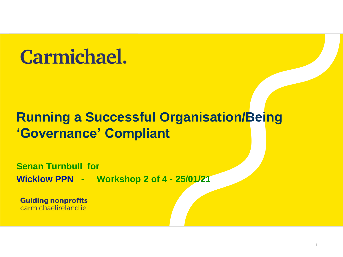## **Carmichael.**

### **Running a Successful Organisation/Being 'Governance' Compliant**

**Senan Turnbull for Wicklow PPN - Workshop 2 of 4 - 25/01/21**

**Guiding nonprofits** carmichaelireland je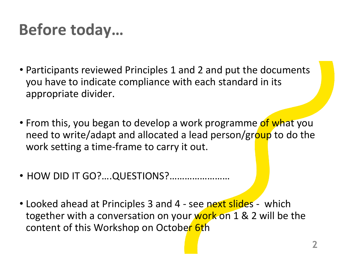## **Before today…**

- Participants reviewed Principles 1 and 2 and put the documents you have to indicate compliance with each standard in its appropriate divider.
- From this, you began to develop a work programme of what you need to write/adapt and allocated a lead person/group to do the work setting a time-frame to carry it out.
- HOW DID IT GO?….QUESTIONS?……………………
- Looked ahead at Principles 3 and 4 see next slides which together with a conversation on your work on 1 & 2 will be the content of this Workshop on October 6th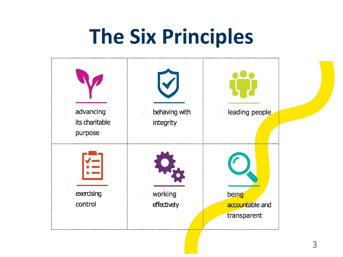# **The Six Principles**

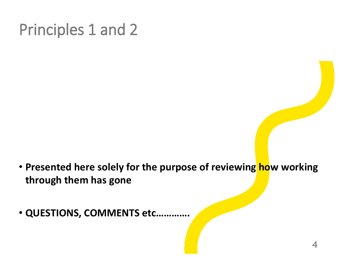## Principles 1 and 2

- **Presented here solely for the purpose of reviewing how working through them has gone**
- **QUESTIONS, COMMENTS etc………….**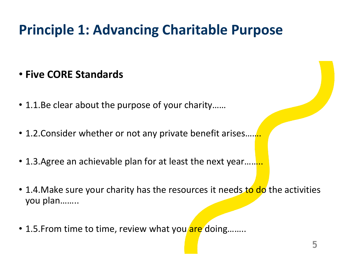- **Five CORE Standards**
- 1.1.Be clear about the purpose of your charity……
- 1.2. Consider whether or not any private benefit arises.
- 1.3. Agree an achievable plan for at least the next year.........
- 1.4. Make sure your charity has the resources it needs to do the activities you plan……..
- 1.5. From time to time, review what you are doing........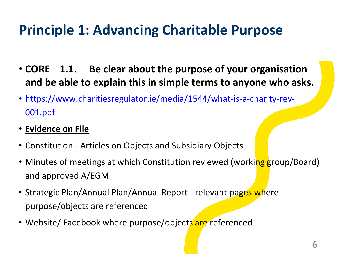- **CORE 1.1. Be clear about the purpose of your organisation and be able to explain this in simple terms to anyone who asks.**
- [https://www.charitiesregulator.ie/media/1544/what-is-a-charity-rev-](https://www.charitiesregulator.ie/media/1544/what-is-a-charity-rev-001.pdf)001.pdf
- **Evidence on File**
- Constitution Articles on Objects and Subsidiary Objects
- Minutes of meetings at which Constitution reviewed (working group/Board) and approved A/EGM
- Strategic Plan/Annual Plan/Annual Report relevant pages where purpose/objects are referenced
- Website/ Facebook where purpose/objects are referenced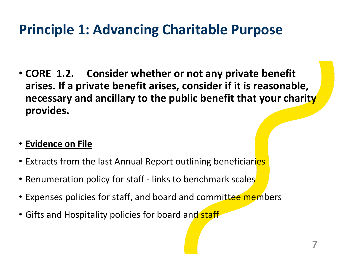- **CORE 1.2. Consider whether or not any private benefit arises. If a private benefit arises, consider if it is reasonable, necessary and ancillary to the public benefit that your charity provides.**
- **Evidence on File**
- Extracts from the last Annual Report outlining beneficiaries
- Renumeration policy for staff links to benchmark scales
- Expenses policies for staff, and board and committee members
- Gifts and Hospitality policies for board and staff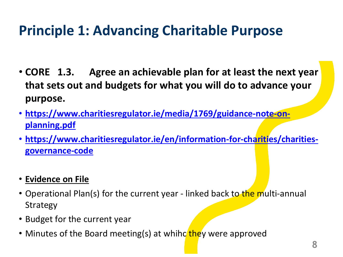- **CORE 1.3. Agree an achievable plan for at least the next year that sets out and budgets for what you will do to advance your purpose.**
- **[https://www.charitiesregulator.ie/media/1769/guidance-note-on](https://www.charitiesregulator.ie/media/1769/guidance-note-on-planning.pdf)planning.pdf**
- **[https://www.charitiesregulator.ie/en/information-for-charities/charities](https://www.charitiesregulator.ie/en/information-for-charities/charities-governance-code)governance-code**
- **Evidence on File**
- Operational Plan(s) for the current year linked back to the multi-annual Strategy
- Budget for the current year
- Minutes of the Board meeting(s) at whihc they were approved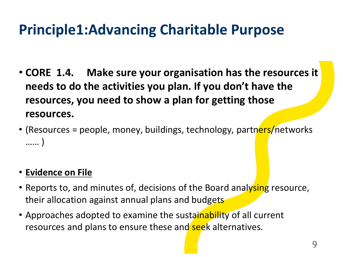- **CORE 1.4. Make sure your organisation has the resources it needs to do the activities you plan. If you don't have the resources, you need to show a plan for getting those resources.**
- (Resources = people, money, buildings, technology, partners/networks …… )

#### • **Evidence on File**

- Reports to, and minutes of, decisions of the Board analysing resource, their allocation against annual plans and budgets
- Approaches adopted to examine the sustainability of all current resources and plans to ensure these and seek alternatives.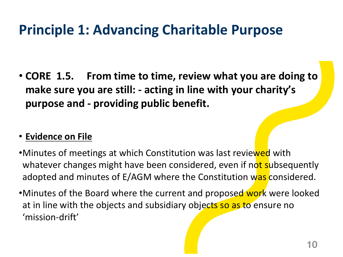• **CORE 1.5. From time to time, review what you are doing to make sure you are still: - acting in line with your charity's purpose and - providing public benefit.**

#### • **Evidence on File**

- •Minutes of meetings at which Constitution was last reviewed with whatever changes might have been considered, even if not subsequently adopted and minutes of E/AGM where the Constitution was considered.
- •Minutes of the Board where the current and proposed work were looked at in line with the objects and subsidiary objects so as to ensure no 'mission-drift'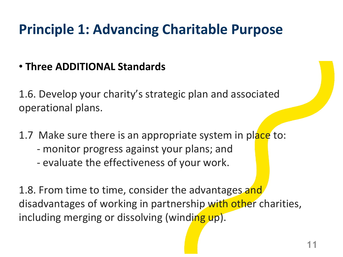#### • **Three ADDITIONAL Standards**

1.6. Develop your charity's strategic plan and associated operational plans.

- 1.7 Make sure there is an appropriate system in place to:
	- monitor progress against your plans; and
	- evaluate the effectiveness of your work.

1.8. From time to time, consider the advantages and disadvantages of working in partnership with other charities, including merging or dissolving (winding up).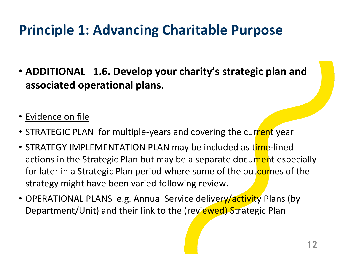- **ADDITIONAL 1.6. Develop your charity's strategic plan and associated operational plans.**
- Evidence on file
- STRATEGIC PLAN for multiple-years and covering the current year
- STRATEGY IMPLEMENTATION PLAN may be included as time-lined actions in the Strategic Plan but may be a separate document especially for later in a Strategic Plan period where some of the outcomes of the strategy might have been varied following review.
- OPERATIONAL PLANS e.g. Annual Service delivery/activity Plans (by Department/Unit) and their link to the (reviewed) Strategic Plan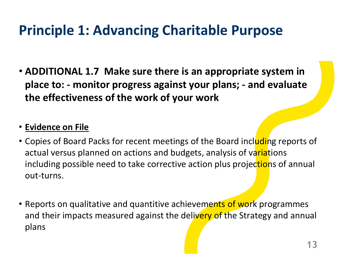• **ADDITIONAL 1.7 Make sure there is an appropriate system in place to: - monitor progress against your plans; - and evaluate the effectiveness of the work of your work**

#### • **Evidence on File**

- Copies of Board Packs for recent meetings of the Board including reports of actual versus planned on actions and budgets, analysis of variations including possible need to take corrective action plus projections of annual out-turns.
- Reports on qualitative and quantitive achievements of work programmes and their impacts measured against the delivery of the Strategy and annual plans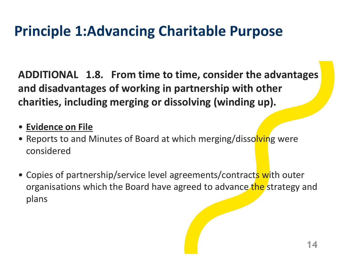**ADDITIONAL 1.8. From time to time, consider the advantages and disadvantages of working in partnership with other charities, including merging or dissolving (winding up).**

- **Evidence on File**
- Reports to and Minutes of Board at which merging/dissolving were considered
- Copies of partnership/service level agreements/contracts with outer organisations which the Board have agreed to advance the strategy and plans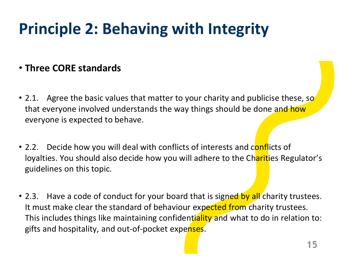#### • **Three CORE standards**

- 2.1. Agree the basic values that matter to your charity and publicise these, so that everyone involved understands the way things should be done and how everyone is expected to behave.
- 2.2. Decide how you will deal with conflicts of interests and conflicts of loyalties. You should also decide how you will adhere to the Charities Regulator's guidelines on this topic.
- 2.3. Have a code of conduct for your board that is signed by all charity trustees. It must make clear the standard of behaviour expected from charity trustees. This includes things like maintaining confidentiality and what to do in relation to: gifts and hospitality, and out-of-pocket expenses.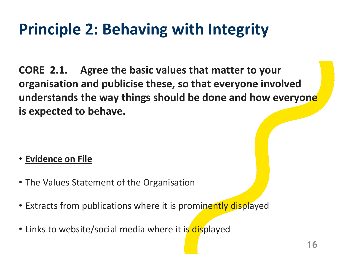**CORE 2.1. Agree the basic values that matter to your organisation and publicise these, so that everyone involved understands the way things should be done and how everyone is expected to behave.**

#### • **Evidence on File**

- The Values Statement of the Organisation
- Extracts from publications where it is prominently displayed
- Links to website/social media where it is displayed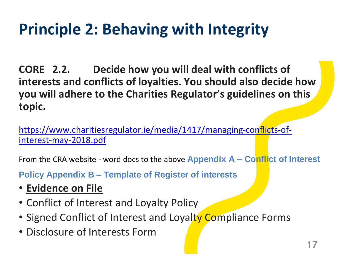**CORE 2.2. Decide how you will deal with conflicts of interests and conflicts of loyalties. You should also decide how you will adhere to the Charities Regulator's guidelines on this topic.** 

[https://www.charitiesregulator.ie/media/1417/managing-conflicts-of](https://www.charitiesregulator.ie/media/1417/managing-conflicts-of-interest-may-2018.pdf)interest-may-2018.pdf

From the CRA website - word docs to the above **Appendix A – Conflict of Interest** 

**Policy Appendix B – Template of Register of interests**

- **Evidence on File**
- Conflict of Interest and Loyalty Policy
- Signed Conflict of Interest and Loyalty Compliance Forms
- Disclosure of Interests Form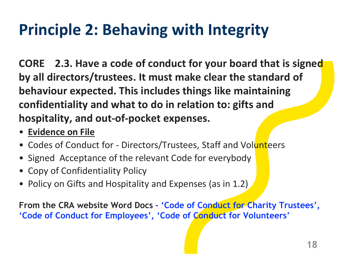**CORE 2.3. Have a code of conduct for your board that is signed by all directors/trustees. It must make clear the standard of behaviour expected. This includes things like maintaining confidentiality and what to do in relation to: gifts and hospitality, and out-of-pocket expenses.**

- **Evidence on File**
- Codes of Conduct for Directors/Trustees, Staff and Volunteers
- Signed Acceptance of the relevant Code for everybody
- Copy of Confidentiality Policy
- Policy on Gifts and Hospitality and Expenses (as in 1.2)

**From the CRA website Word Docs - 'Code of Conduct for Charity Trustees', 'Code of Conduct for Employees', 'Code of Conduct for Volunteers'**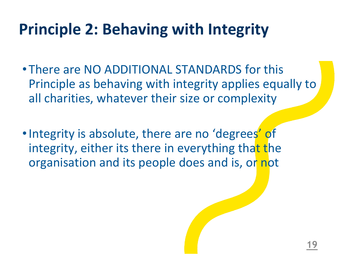- There are NO ADDITIONAL STANDARDS for this Principle as behaving with integrity applies equally to all charities, whatever their size or complexity
- Integrity is absolute, there are no 'degrees' of integrity, either its there in everything that the organisation and its people does and is, or not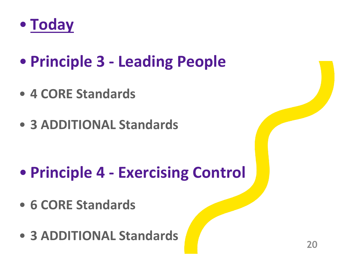

- **Principle 3 - Leading People**
- **4 CORE Standards**
- **3 ADDITIONAL Standards**

- **Principle 4 - Exercising Control**
- **6 CORE Standards**
- **3 ADDITIONAL Standards**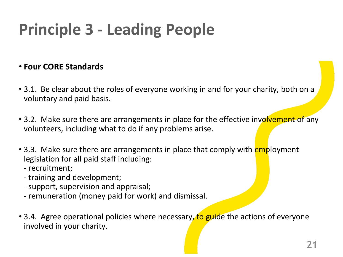#### • **Four CORE Standards**

- 3.1. Be clear about the roles of everyone working in and for your charity, both on a voluntary and paid basis.
- 3.2. Make sure there are arrangements in place for the effective involvement of any volunteers, including what to do if any problems arise.
- 3.3. Make sure there are arrangements in place that comply with **employment** legislation for all paid staff including:
	- recruitment;
	- training and development;
	- support, supervision and appraisal;
	- remuneration (money paid for work) and dismissal.
- 3.4. Agree operational policies where necessary, to guide the actions of everyone involved in your charity.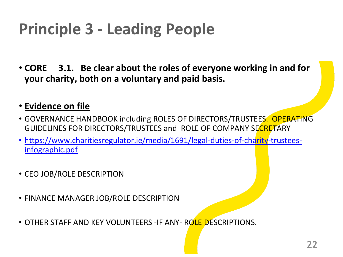• **CORE 3.1. Be clear about the roles of everyone working in and for your charity, both on a voluntary and paid basis.**

#### • **Evidence on file**

- GOVERNANCE HANDBOOK including ROLES OF DIRECTORS/TRUSTEES. OPERATING GUIDELINES FOR DIRECTORS/TRUSTEES and ROLE OF COMPANY SECRETARY
- [https://www.charitiesregulator.ie/media/1691/legal-duties-of-charity-trustees](https://www.charitiesregulator.ie/media/1691/legal-duties-of-charity-trustees-infographic.pdf)infographic.pdf
- CEO JOB/ROLE DESCRIPTION
- FINANCE MANAGER JOB/ROLE DESCRIPTION
- OTHER STAFF AND KEY VOLUNTEERS -IF ANY- ROLE DESCRIPTIONS.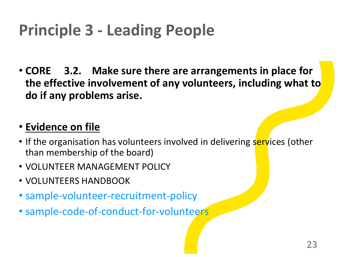• **CORE 3.2. Make sure there are arrangements in place for the effective involvement of any volunteers, including what to do if any problems arise.**

#### • **Evidence on file**

- If the organisation has volunteers involved in delivering services (other than membership of the board)
- VOLUNTEER MANAGEMENT POLICY
- VOLUNTEERS HANDBOOK
- sample-volunteer-recruitment-policy
- sample-code-of-conduct-for-volunteers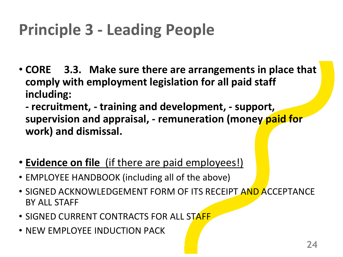• **CORE 3.3. Make sure there are arrangements in place that comply with employment legislation for all paid staff including:** 

**- recruitment, - training and development, - support, supervision and appraisal, - remuneration (money paid for work) and dismissal.** 

- **Evidence on file** (if there are paid employees!)
- EMPLOYEE HANDBOOK (including all of the above)
- SIGNED ACKNOWLEDGEMENT FORM OF ITS RECEIPT AND ACCEPTANCE BY ALL STAFF
- SIGNED CURRENT CONTRACTS FOR ALL STAFF
- NEW EMPLOYEE INDUCTION PACK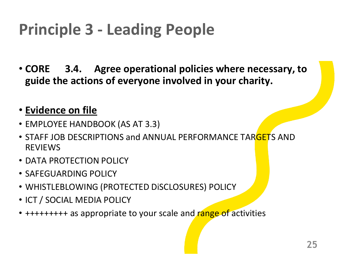• **CORE 3.4. Agree operational policies where necessary, to guide the actions of everyone involved in your charity.**

#### • **Evidence on file**

- EMPLOYEE HANDBOOK (AS AT 3.3)
- STAFF JOB DESCRIPTIONS and ANNUAL PERFORMANCE TARGETS AND REVIEWS
- DATA PROTECTION POLICY
- SAFEGUARDING POLICY
- WHISTLEBLOWING (PROTECTED DiSCLOSURES) POLICY
- ICT / SOCIAL MEDIA POLICY
- +++++++++ as appropriate to your scale and range of activities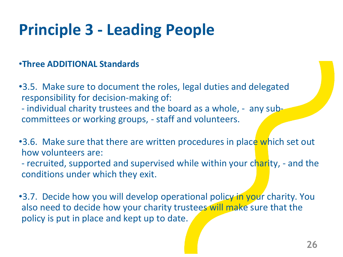#### •**Three ADDITIONAL Standards**

- •3.5. Make sure to document the roles, legal duties and delegated responsibility for decision-making of:
- individual charity trustees and the board as a whole, any subcommittees or working groups, - staff and volunteers.
- •3.6. Make sure that there are written procedures in place which set out how volunteers are:
- recruited, supported and supervised while within your charity, and the conditions under which they exit.
- •3.7. Decide how you will develop operational policy in your charity. You also need to decide how your charity trustees will make sure that the policy is put in place and kept up to date.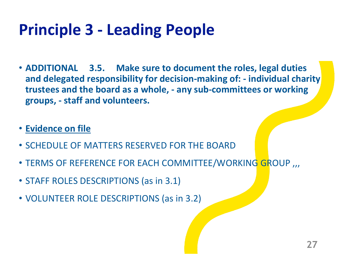- **ADDITIONAL 3.5. Make sure to document the roles, legal duties and delegated responsibility for decision-making of: - individual charity trustees and the board as a whole, - any sub-committees or working groups, - staff and volunteers.**
- **Evidence on file**
- SCHEDULE OF MATTERS RESERVED FOR THE BOARD
- TERMS OF REFERENCE FOR EACH COMMITTEE/WORKING GROUP ,,,
- STAFF ROLES DESCRIPTIONS (as in 3.1)
- VOLUNTEER ROLE DESCRIPTIONS (as in 3.2)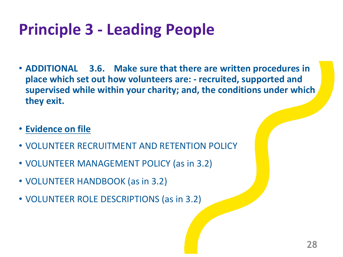- **ADDITIONAL 3.6. Make sure that there are written procedures in place which set out how volunteers are: - recruited, supported and supervised while within your charity; and, the conditions under which they exit.**
- **Evidence on file**
- VOLUNTEER RECRUITMENT AND RETENTION POLICY
- VOLUNTEER MANAGEMENT POLICY (as in 3.2)
- VOLUNTEER HANDBOOK (as in 3.2)
- VOLUNTEER ROLE DESCRIPTIONS (as in 3.2)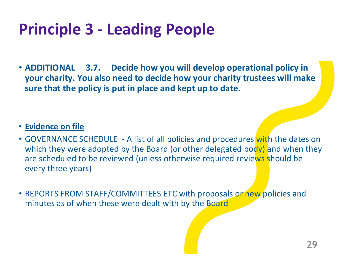• **ADDITIONAL 3.7. Decide how you will develop operational policy in your charity. You also need to decide how your charity trustees will make sure that the policy is put in place and kept up to date.**

#### • **Evidence on file**

- GOVERNANCE SCHEDULE A list of all policies and procedures with the dates on which they were adopted by the Board (or other delegated body) and when they are scheduled to be reviewed (unless otherwise required reviews should be every three years)
- REPORTS FROM STAFF/COMMITTEES ETC with proposals or new policies and minutes as of when these were dealt with by the Board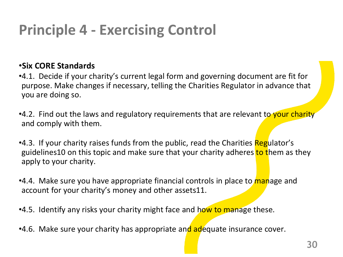#### •**Six CORE Standards**

- •4.1. Decide if your charity's current legal form and governing document are fit for purpose. Make changes if necessary, telling the Charities Regulator in advance that you are doing so.
- •4.2. Find out the laws and regulatory requirements that are relevant to your charity and comply with them.
- •4.3. If your charity raises funds from the public, read the Charities Regulator's guidelines10 on this topic and make sure that your charity adheres to them as they apply to your charity.
- •4.4. Make sure you have appropriate financial controls in place to manage and account for your charity's money and other assets11.
- •4.5. Identify any risks your charity might face and how to manage these.
- •4.6. Make sure your charity has appropriate and adequate insurance cover.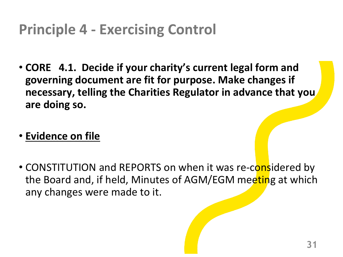- **CORE 4.1. Decide if your charity's current legal form and governing document are fit for purpose. Make changes if necessary, telling the Charities Regulator in advance that you are doing so.**
- **Evidence on file**
- CONSTITUTION and REPORTS on when it was re-considered by the Board and, if held, Minutes of AGM/EGM meeting at which any changes were made to it.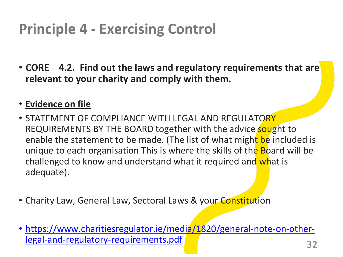• **CORE 4.2. Find out the laws and regulatory requirements that are relevant to your charity and comply with them.** 

#### • **Evidence on file**

- STATEMENT OF COMPLIANCE WITH LEGAL AND REGULATORY REQUIREMENTS BY THE BOARD together with the advice sought to enable the statement to be made. (The list of what might be included is unique to each organisation This is where the skills of the Board will be challenged to know and understand what it required and what is adequate).
- Charity Law, General Law, Sectoral Laws & your Constitution
- [https://www.charitiesregulator.ie/media/1820/general-note-on-other](https://www.charitiesregulator.ie/media/1820/general-note-on-other-legal-and-regulatory-requirements.pdf)legal-and-regulatory-requirements.pdf **<sup>32</sup>**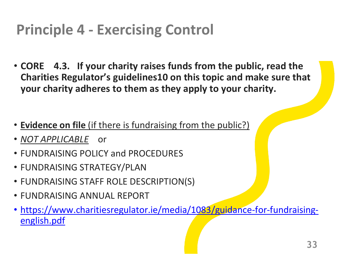- **CORE 4.3. If your charity raises funds from the public, read the Charities Regulator's guidelines10 on this topic and make sure that your charity adheres to them as they apply to your charity.**
- **Evidence on file** (if there is fundraising from the public?)
- *NOT APPLICABLE* or
- FUNDRAISING POLICY and PROCEDURES
- FUNDRAISING STRATEGY/PLAN
- FUNDRAISING STAFF ROLE DESCRIPTION(S)
- FUNDRAISING ANNUAL REPORT
- [https://www.charitiesregulator.ie/media/1083/guidance-for-fundraising](https://www.charitiesregulator.ie/media/1083/guidance-for-fundraising-english.pdf)english.pdf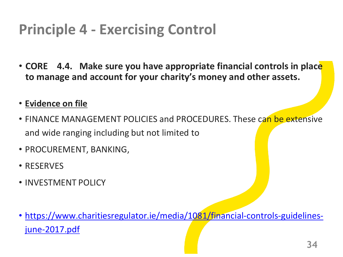• **CORE 4.4. Make sure you have appropriate financial controls in place to manage and account for your charity's money and other assets.** 

#### • **Evidence on file**

- FINANCE MANAGEMENT POLICIES and PROCEDURES. These can be extensive and wide ranging including but not limited to
- PROCUREMENT, BANKING,
- RESERVES
- INVESTMENT POLICY
- [https://www.charitiesregulator.ie/media/1081/financial-controls-guidelines](https://www.charitiesregulator.ie/media/1081/financial-controls-guidelines-june-2017.pdf)june-2017.pdf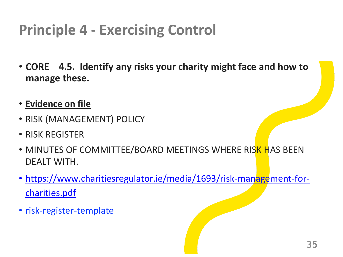- **CORE 4.5. Identify any risks your charity might face and how to manage these.**
- **Evidence on file**
- RISK (MANAGEMENT) POLICY
- RISK REGISTER
- MINUTES OF COMMITTEE/BOARD MEETINGS WHERE RISK HAS BEEN DEALT WITH.
- [https://www.charitiesregulator.ie/media/1693/risk-management-for](https://www.charitiesregulator.ie/media/1693/risk-management-for-charities.pdf)charities.pdf
- risk-register-template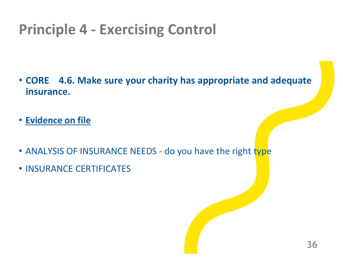- **CORE 4.6. Make sure your charity has appropriate and adequate insurance.**
- **Evidence on file**
- ANALYSIS OF INSURANCE NEEDS do you have the right type
- INSURANCE CERTIFICATES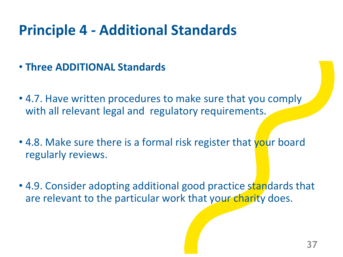### **Principle 4 - Additional Standards**

- **Three ADDITIONAL Standards**
- 4.7. Have written procedures to make sure that you comply with all relevant legal and regulatory requirements.
- 4.8. Make sure there is a formal risk register that your board regularly reviews.
- 4.9. Consider adopting additional good practice standards that are relevant to the particular work that your charity does.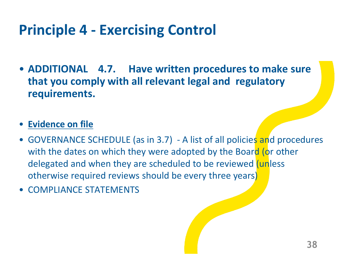• **ADDITIONAL 4.7. Have written procedures to make sure that you comply with all relevant legal and regulatory requirements.**

#### • **Evidence on file**

- GOVERNANCE SCHEDULE (as in 3.7) A list of all policies and procedures with the dates on which they were adopted by the Board (or other delegated and when they are scheduled to be reviewed (unless otherwise required reviews should be every three years)
- COMPLIANCE STATEMENTS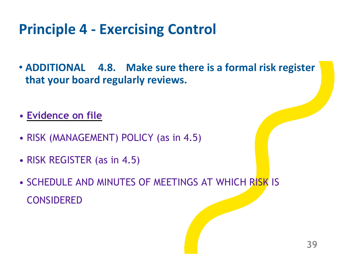- **ADDITIONAL 4.8. Make sure there is a formal risk register that your board regularly reviews.**
- **Evidence on file**
- RISK (MANAGEMENT) POLICY (as in 4.5)
- RISK REGISTER (as in 4.5)
- SCHEDULE AND MINUTES OF MEETINGS AT WHICH RISK IS CONSIDERED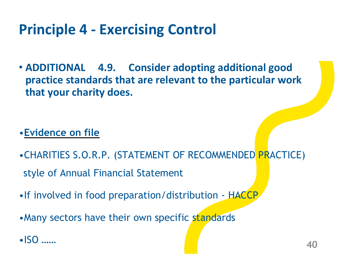• **ADDITIONAL 4.9. Consider adopting additional good practice standards that are relevant to the particular work that your charity does.**

#### •**Evidence on file**

- •CHARITIES S.O.R.P. (STATEMENT OF RECOMMENDED PRACTICE) style of Annual Financial Statement
- •If involved in food preparation/distribution HACCP
- Many sectors have their own specific standards
- •ISO …… **<sup>40</sup>**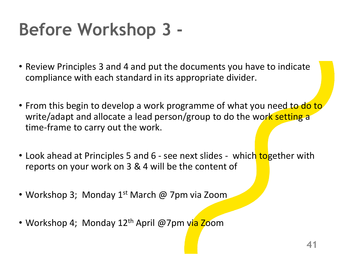# **Before Workshop 3 -**

- Review Principles 3 and 4 and put the documents you have to indicate compliance with each standard in its appropriate divider.
- From this begin to develop a work programme of what you need to do to write/adapt and allocate a lead person/group to do the work setting a time-frame to carry out the work.
- Look ahead at Principles 5 and 6 see next slides which together with reports on your work on 3 & 4 will be the content of
- Workshop 3; Monday 1<sup>st</sup> March @ 7pm via Zoom
- Workshop 4; Monday 12<sup>th</sup> April @7pm via Zoom